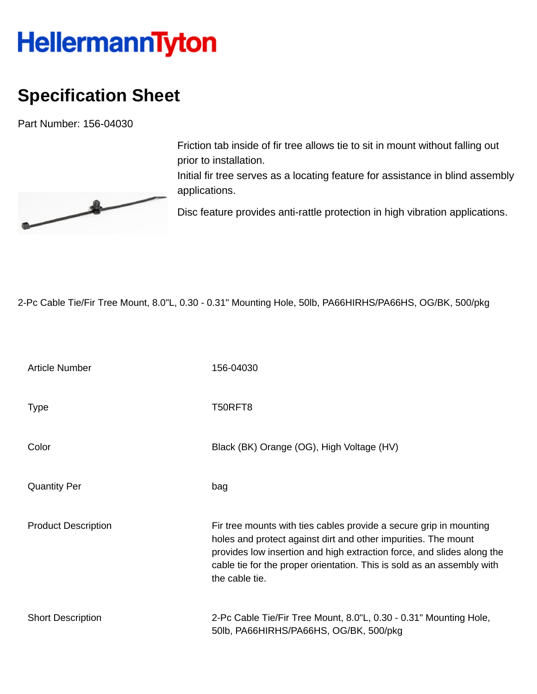## **HellermannTyton**

## **Specification Sheet**

Part Number: 156-04030



Friction tab inside of fir tree allows tie to sit in mount without falling out prior to installation.

Initial fir tree serves as a locating feature for assistance in blind assembly applications.

Disc feature provides anti-rattle protection in high vibration applications.

2-Pc Cable Tie/Fir Tree Mount, 8.0"L, 0.30 - 0.31" Mounting Hole, 50lb, PA66HIRHS/PA66HS, OG/BK, 500/pkg

| <b>Article Number</b>      | 156-04030                                                                                                                                                                                                                                                                                                  |
|----------------------------|------------------------------------------------------------------------------------------------------------------------------------------------------------------------------------------------------------------------------------------------------------------------------------------------------------|
| <b>Type</b>                | T50RFT8                                                                                                                                                                                                                                                                                                    |
| Color                      | Black (BK) Orange (OG), High Voltage (HV)                                                                                                                                                                                                                                                                  |
| <b>Quantity Per</b>        | bag                                                                                                                                                                                                                                                                                                        |
| <b>Product Description</b> | Fir tree mounts with ties cables provide a secure grip in mounting<br>holes and protect against dirt and other impurities. The mount<br>provides low insertion and high extraction force, and slides along the<br>cable tie for the proper orientation. This is sold as an assembly with<br>the cable tie. |
| <b>Short Description</b>   | 2-Pc Cable Tie/Fir Tree Mount, 8.0"L, 0.30 - 0.31" Mounting Hole,<br>50lb, PA66HIRHS/PA66HS, OG/BK, 500/pkg                                                                                                                                                                                                |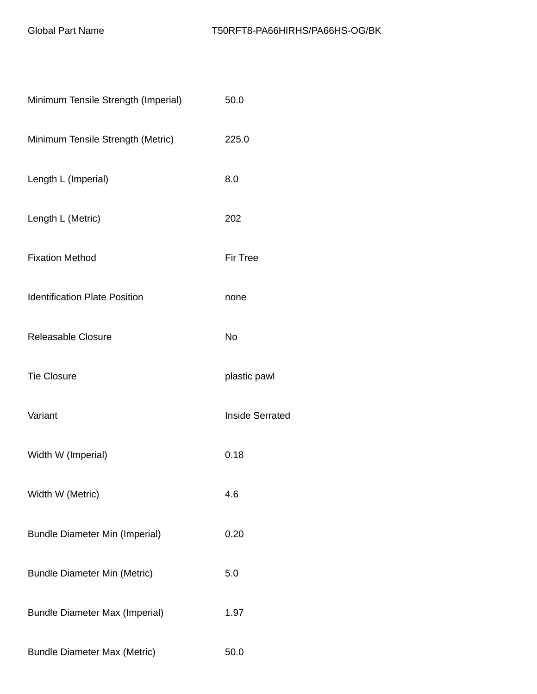| Minimum Tensile Strength (Imperial)   | 50.0                   |
|---------------------------------------|------------------------|
| Minimum Tensile Strength (Metric)     | 225.0                  |
| Length L (Imperial)                   | 8.0                    |
| Length L (Metric)                     | 202                    |
| <b>Fixation Method</b>                | <b>Fir Tree</b>        |
| <b>Identification Plate Position</b>  | none                   |
| Releasable Closure                    | <b>No</b>              |
| <b>Tie Closure</b>                    | plastic pawl           |
| Variant                               | <b>Inside Serrated</b> |
| Width W (Imperial)                    | 0.18                   |
| Width W (Metric)                      | 4.6                    |
| <b>Bundle Diameter Min (Imperial)</b> | 0.20                   |
| <b>Bundle Diameter Min (Metric)</b>   | 5.0                    |
| <b>Bundle Diameter Max (Imperial)</b> | 1.97                   |
| <b>Bundle Diameter Max (Metric)</b>   | 50.0                   |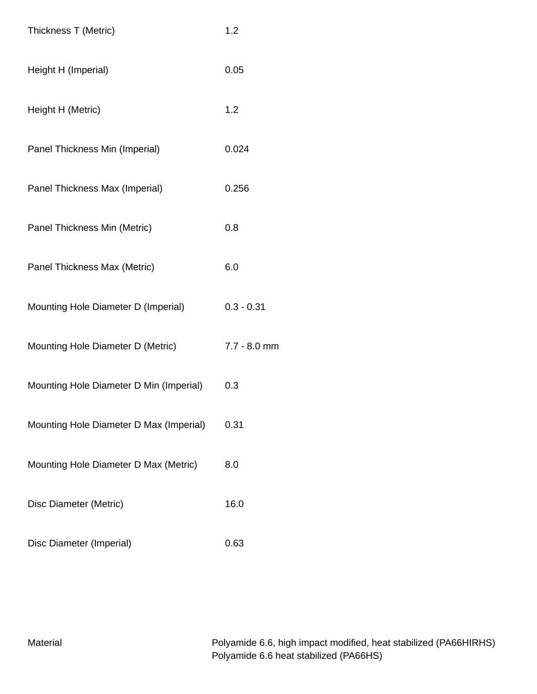| Thickness T (Metric)                    | 1.2            |
|-----------------------------------------|----------------|
| Height H (Imperial)                     | 0.05           |
| Height H (Metric)                       | 1.2            |
| Panel Thickness Min (Imperial)          | 0.024          |
| Panel Thickness Max (Imperial)          | 0.256          |
| Panel Thickness Min (Metric)            | 0.8            |
| Panel Thickness Max (Metric)            | 6.0            |
| Mounting Hole Diameter D (Imperial)     | $0.3 - 0.31$   |
| Mounting Hole Diameter D (Metric)       | $7.7 - 8.0$ mm |
| Mounting Hole Diameter D Min (Imperial) | 0.3            |
| Mounting Hole Diameter D Max (Imperial) | 0.31           |
| Mounting Hole Diameter D Max (Metric)   | 8.0            |
| Disc Diameter (Metric)                  | 16.0           |
| Disc Diameter (Imperial)                | 0.63           |